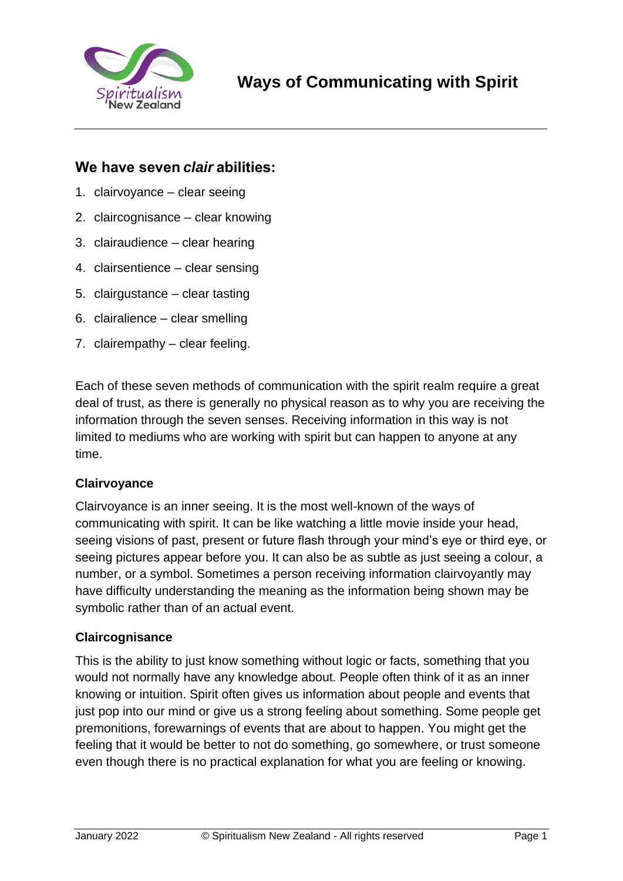

# **We have seven***clair***abilities:**

- 1. clairvoyance clear seeing
- 2. claircognisance clear knowing
- 3. clairaudience clear hearing
- 4. clairsentience clear sensing
- 5. clairgustance clear tasting
- 6. clairalience clear smelling
- 7. clairempathy clear feeling.

Each of these seven methods of communication with the spirit realm require a great deal of trust, as there is generally no physical reason as to why you are receiving the information through the seven senses. Receiving information in this way is not limited to mediums who are working with spirit but can happen to anyone at any time.

### **Clairvoyance**

Clairvoyance is an inner seeing. It is the most well-known of the ways of communicating with spirit. It can be like watching a little movie inside your head, seeing visions of past, present or future flash through your mind's eye or third eye, or seeing pictures appear before you. It can also be as subtle as just seeing a colour, a number, or a symbol. Sometimes a person receiving information clairvoyantly may have difficulty understanding the meaning as the information being shown may be symbolic rather than of an actual event.

### **Claircognisance**

This is the ability to just know something without logic or facts, something that you would not normally have any knowledge about. People often think of it as an inner knowing or intuition. Spirit often gives us information about people and events that just pop into our mind or give us a strong feeling about something. Some people get premonitions, forewarnings of events that are about to happen. You might get the feeling that it would be better to not do something, go somewhere, or trust someone even though there is no practical explanation for what you are feeling or knowing.